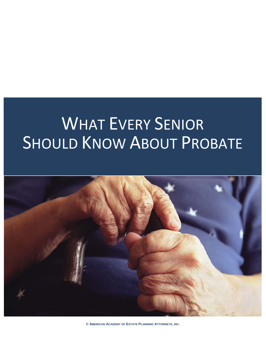# WHAT EVERY SENIOR **SHOULD KNOW ABOUT PROBATE**



**© AMERICAN ACADEMY OF ESTATE PLANNING ATTORNEYS, INC.**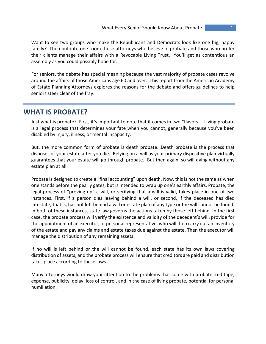Want to see two groups who make the Republicans and Democrats look like one big, happy family? Then put into one room those attorneys who believe in probate and those who prefer their clients manage their affairs with a Revocable Living Trust. You'll get as contentious an assembly as you could possibly hope for.

For seniors, the debate has special meaning because the vast majority of probate cases revolve around the affairs of those Americans age 60 and over. This report from the American Academy of Estate Planning Attorneys explores the reasons for the debate and offers guidelines to help seniors steer clear of the fray.

#### **WHAT IS PROBATE?**

Just what is probate? First, it's important to note that it comes in two "flavors." Living probate is a legal process that determines your fate when you cannot, generally because you've been disabled by injury, illness, or mental incapacity.

But, the more common form of probate is death probate…Death probate is the process that disposes of your estate after you die. Relying on a will as your primary dispositive plan virtually guarantees that your estate will go through probate. But then again, so will dying without any estate plan at all.

Probate is designed to create a "final accounting" upon death. Now, this is not the same as when one stands before the pearly gates, but is intended to wrap up one's earthly affairs. Probate, the legal process of "proving up" a will, or verifying that a will is valid, takes place in one of two instances. First, if a person dies leaving behind a will, or second, if the deceased has died intestate, that is, has not left behind a will or estate plan of any type or the will cannot be found. In both of these instances, state law governs the actions taken by those left behind. In the first case, the probate process will verify the existence and validity of the decedent's will, provide for the appointment of an executor, or personal representative, who will then carry out an inventory of the estate and pay any claims and estate taxes due against the estate. Then the executor will manage the distribution of any remaining assets.

If no will is left behind or the will cannot be found, each state has its own laws covering distribution of assets, and the probate process will ensure that creditors are paid and distribution takes place according to these laws.

Many attorneys would draw your attention to the problems that come with probate: red tape, expense, publicity, delay, loss of control, and in the case of living probate, potential for personal humiliation.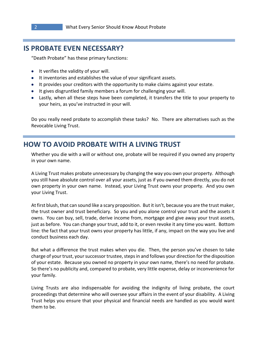## **IS PROBATE EVEN NECESSARY?**

"Death Probate" has these primary functions:

- It verifies the validity of your will.
- It inventories and establishes the value of your significant assets.
- It provides your creditors with the opportunity to make claims against your estate.
- It gives disgruntled family members a forum for challenging your will.
- Lastly, when all these steps have been completed, it transfers the title to your property to your heirs, as you've instructed in your will.

Do you really need probate to accomplish these tasks? No. There are alternatives such as the Revocable Living Trust.

## **HOW TO AVOID PROBATE WITH A LIVING TRUST**

Whether you die with a will or without one, probate will be required if you owned any property in your own name.

A Living Trust makes probate unnecessary by changing the way you own your property. Although you still have absolute control over all your assets, just as if you owned them directly, you do not own property in your own name. Instead, your Living Trust owns your property. And you own your Living Trust.

At first blush, that can sound like a scary proposition. But it isn't, because you are the trust maker, the trust owner and trust beneficiary. So you and you alone control your trust and the assets it owns. You can buy, sell, trade, derive income from, mortgage and give away your trust assets, just as before. You can change your trust, add to it, or even revoke it any time you want. Bottom line: the fact that your trust owns your property has little, if any, impact on the way you live and conduct business each day.

But what a difference the trust makes when you die. Then, the person you've chosen to take charge of your trust, your successor trustee, steps in and follows your direction for the disposition of your estate. Because you owned no property in your own name, there's no need for probate. So there's no publicity and, compared to probate, very little expense, delay or inconvenience for your family.

Living Trusts are also indispensable for avoiding the indignity of living probate, the court proceedings that determine who will oversee your affairs in the event of your disability. A Living Trust helps you ensure that your physical and financial needs are handled as you would want them to be.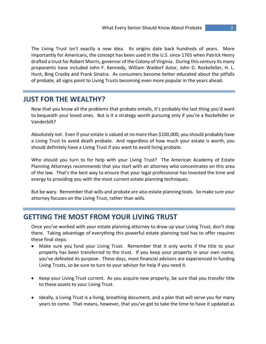The Living Trust isn't exactly a new idea. Its origins date back hundreds of years. More importantly for Americans, the concept has been used in the U.S. since 1765 when Patrick Henry drafted a trust for Robert Morris, governor of the Colony of Virginia. During this century its many proponents have included John F. Kennedy, William Waldorf Astor, John D. Rockefeller, H. L. Hunt, Bing Crosby and Frank Sinatra. As consumers become better educated about the pitfalls of probate, all signs point to Living Trusts becoming even more popular in the years ahead.

#### **JUST FOR THE WEALTHY?**

Now that you know all the problems that probate entails, it's probably the last thing you'd want to bequeath your loved ones. But is it a strategy worth pursuing only if you're a Rockefeller or Vanderbilt?

Absolutely not. Even if your estate is valued at no more than \$100,000, you should probably have a Living Trust to avoid death probate. And regardless of how much your estate is worth, you should definitely have a Living Trust if you want to avoid living probate.

Who should you turn to for help with your Living Trust? The American Academy of Estate Planning Attorneys recommends that you start with an attorney who concentrates on this area of the law. That's the best way to ensure that your legal professional has invested the time and energy to providing you with the most current estate planning techniques.

But be wary. Remember that wills and probate are also estate planning tools. So make sure your attorney focuses on the Living Trust, rather than wills.

### **GETTING THE MOST FROM YOUR LIVING TRUST**

Once you've worked with your estate planning attorney to draw up your Living Trust, don't stop there. Taking advantage of everything this powerful estate planning tool has to offer requires these final steps:

- Make sure you fund your Living Trust. Remember that it only works if the title to your property has been transferred to the trust. If you keep your property in your own name, you've defeated its purpose. These days, most financial advisors are experienced in funding Living Trusts, so be sure to turn to your advisor for help if you need it.
- Keep your Living Trust current. As you acquire new property, be sure that you transfer title to these assets to your Living Trust.
- Ideally, a Living Trust is a living, breathing document, and a plan that will serve you for many years to come. That means, however, that you've got to take the time to have it updated as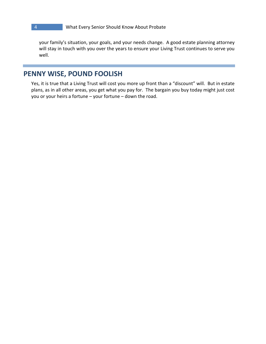your family's situation, your goals, and your needs change. A good estate planning attorney will stay in touch with you over the years to ensure your Living Trust continues to serve you well.

#### **PENNY WISE, POUND FOOLISH**

Yes, it is true that a Living Trust will cost you more up front than a "discount" will. But in estate plans, as in all other areas, you get what you pay for. The bargain you buy today might just cost you or your heirs a fortune – your fortune – down the road.